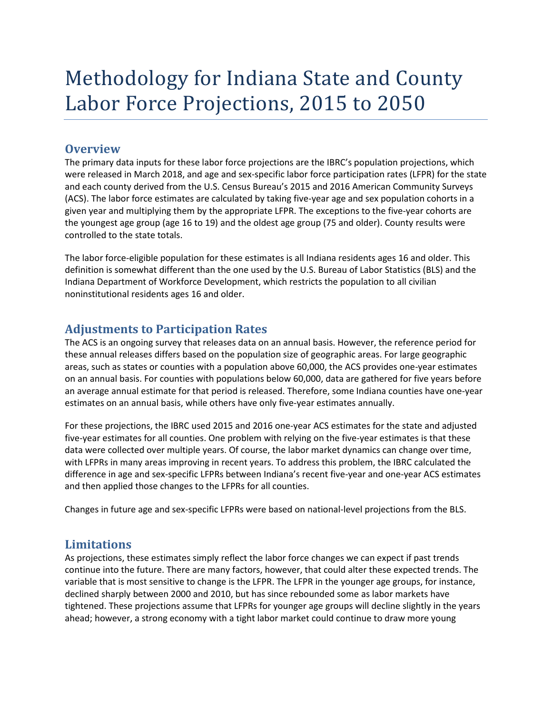## Methodology for Indiana State and County Labor Force Projections, 2015 to 2050

## **Overview**

The primary data inputs for these labor force projections are the IBRC's population projections, which were released in March 2018, and age and sex-specific labor force participation rates (LFPR) for the state and each county derived from the U.S. Census Bureau's 2015 and 2016 American Community Surveys (ACS). The labor force estimates are calculated by taking five-year age and sex population cohorts in a given year and multiplying them by the appropriate LFPR. The exceptions to the five-year cohorts are the youngest age group (age 16 to 19) and the oldest age group (75 and older). County results were controlled to the state totals.

The labor force-eligible population for these estimates is all Indiana residents ages 16 and older. This definition is somewhat different than the one used by the U.S. Bureau of Labor Statistics (BLS) and the Indiana Department of Workforce Development, which restricts the population to all civilian noninstitutional residents ages 16 and older.

## **Adjustments to Participation Rates**

The ACS is an ongoing survey that releases data on an annual basis. However, the reference period for these annual releases differs based on the population size of geographic areas. For large geographic areas, such as states or counties with a population above 60,000, the ACS provides one-year estimates on an annual basis. For counties with populations below 60,000, data are gathered for five years before an average annual estimate for that period is released. Therefore, some Indiana counties have one-year estimates on an annual basis, while others have only five-year estimates annually.

For these projections, the IBRC used 2015 and 2016 one-year ACS estimates for the state and adjusted five-year estimates for all counties. One problem with relying on the five-year estimates is that these data were collected over multiple years. Of course, the labor market dynamics can change over time, with LFPRs in many areas improving in recent years. To address this problem, the IBRC calculated the difference in age and sex-specific LFPRs between Indiana's recent five-year and one-year ACS estimates and then applied those changes to the LFPRs for all counties.

Changes in future age and sex-specific LFPRs were based on national-level projections from the BLS.

## **Limitations**

As projections, these estimates simply reflect the labor force changes we can expect if past trends continue into the future. There are many factors, however, that could alter these expected trends. The variable that is most sensitive to change is the LFPR. The LFPR in the younger age groups, for instance, declined sharply between 2000 and 2010, but has since rebounded some as labor markets have tightened. These projections assume that LFPRs for younger age groups will decline slightly in the years ahead; however, a strong economy with a tight labor market could continue to draw more young